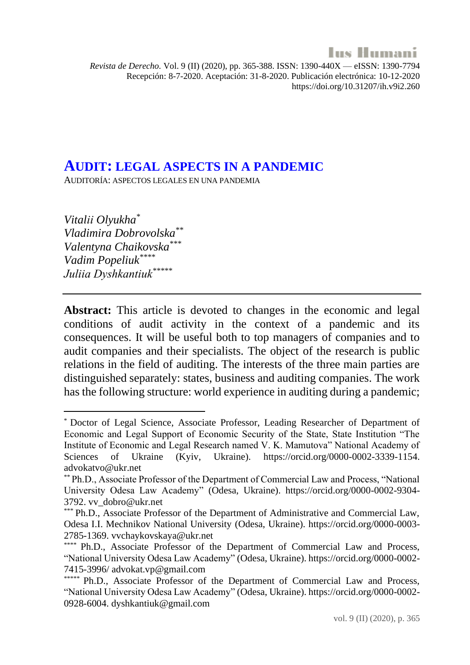

*Revista de Derecho.* Vol. 9 (II) (2020), pp. 365-388. ISSN: 1390-440X — eISSN: 1390-7794 Recepción: 8-7-2020. Aceptación: 31-8-2020. Publicación electrónica: 10-12-2020 https://doi.org/10.31207/ih.v9i2.260

#### **AUDIT: LEGAL ASPECTS IN A PANDEMIC**

AUDITORÍA: ASPECTOS LEGALES EN UNA PANDEMIA

*Vitalіі Olyukha\* Vladimira Dobrovolska\*\* Valentyna Chaikovska\*\*\* Vadim Popeliuk\*\*\*\* Juliіa Dyshkantiuk\*\*\*\*\**

**Abstract:** This article is devoted to changes in the economic and legal conditions of audit activity in the context of a pandemic and its consequences. It will be useful both to top managers of companies and to audit companies and their specialists. The object of the research is public relations in the field of auditing. The interests of the three main parties are distinguished separately: states, business and auditing companies. The work has the following structure: world experience in auditing during a pandemic;

<sup>\*</sup> Doctor of Legal Science, Associate Professor, Leading Researcher of Department of Economic and Legal Support of Economic Security of the State, State Institution "The Institute of Economic and Legal Research named V. K. Mamutova" National Academy of Sciences of Ukraine (Kyiv, Ukraine). https://orcid.org/0000-0002-3339-1154. advokatvo@ukr.net

<sup>\*\*</sup> Ph.D., Associate Professor of the Department of Commercial Law and Process, "National University Odesa Law Academy" (Odesa, Ukraine). https://orcid.org/0000-0002-9304- 3792. vv\_dobro@ukr.net

<sup>\*\*\*</sup> Ph.D., Associate Professor of the Department of Administrative and Commercial Law, Odesa I.I. Mechnikov National University (Odesa, Ukraine). https://orcid.org/0000-0003- 2785-1369. vvchaykovskaya@ukr.net

<sup>\*\*\*\*</sup> Ph.D., Associate Professor of the Department of Commercial Law and Process, "National University Odesa Law Academy" (Odesa, Ukraine). https://orcid.org/0000-0002- 7415-3996/ advokat.vp@gmail.com

Ph.D., Associate Professor of the Department of Commercial Law and Process, "National University Odesa Law Academy" (Odesa, Ukraine). https://orcid.org/0000-0002- 0928-6004. dyshkantiuk@gmail.com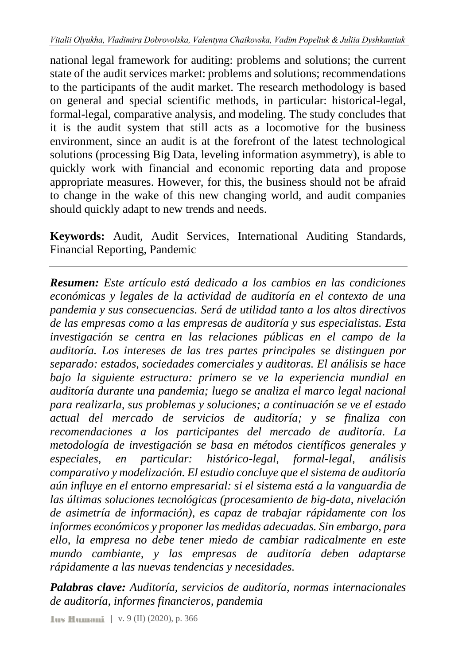national legal framework for auditing: problems and solutions; the current state of the audit services market: problems and solutions; recommendations to the participants of the audit market. The research methodology is based on general and special scientific methods, in particular: historical-legal, formal-legal, comparative analysis, and modeling. The study concludes that it is the audit system that still acts as a locomotive for the business environment, since an audit is at the forefront of the latest technological solutions (processing Big Data, leveling information asymmetry), is able to quickly work with financial and economic reporting data and propose appropriate measures. However, for this, the business should not be afraid to change in the wake of this new changing world, and audit companies should quickly adapt to new trends and needs.

**Keywords:** Audit, Audit Services, International Auditing Standards, Financial Reporting, Pandemic

*Resumen: Este artículo está dedicado a los cambios en las condiciones económicas y legales de la actividad de auditoría en el contexto de una pandemia y sus consecuencias. Será de utilidad tanto a los altos directivos de las empresas como a las empresas de auditoría y sus especialistas. Esta investigación se centra en las relaciones públicas en el campo de la auditoría. Los intereses de las tres partes principales se distinguen por separado: estados, sociedades comerciales y auditoras. El análisis se hace bajo la siguiente estructura: primero se ve la experiencia mundial en auditoría durante una pandemia; luego se analiza el marco legal nacional para realizarla, sus problemas y soluciones; a continuación se ve el estado actual del mercado de servicios de auditoría; y se finaliza con recomendaciones a los participantes del mercado de auditoría. La metodología de investigación se basa en métodos científicos generales y especiales, en particular: histórico-legal, formal-legal, análisis comparativo y modelización. El estudio concluye que el sistema de auditoría aún influye en el entorno empresarial: si el sistema está a la vanguardia de las últimas soluciones tecnológicas (procesamiento de big-data, nivelación de asimetría de información), es capaz de trabajar rápidamente con los informes económicos y proponer las medidas adecuadas. Sin embargo, para ello, la empresa no debe tener miedo de cambiar radicalmente en este mundo cambiante, y las empresas de auditoría deben adaptarse rápidamente a las nuevas tendencias y necesidades.*

*Palabras clave: Auditoría, servicios de auditoría, normas internacionales de auditoría, informes financieros, pandemia*

| v. 9 (II) (2020), p. 366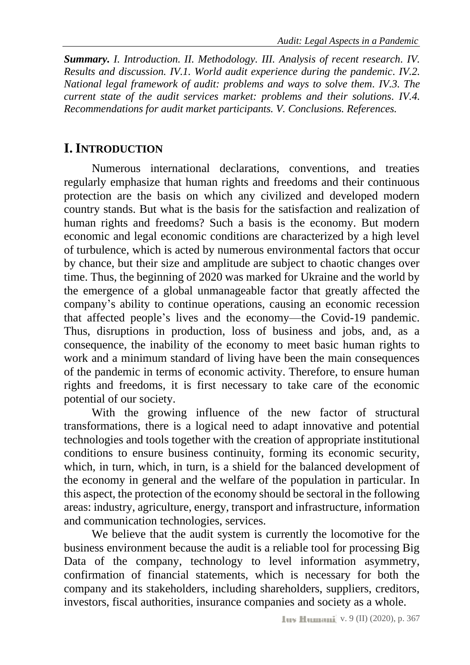*Summary. [I. Introduction.](#page-2-0) [II. Methodology.](#page-3-0) [III. Analysis of recent research.](#page-3-1) [IV.](#page-6-0)  [Results and discussion.](#page-6-0) [IV.1. World audit experience during the pandemic.](#page-6-1) [IV.2.](#page-9-0)  [National legal framework of audit: problems and ways to solve them.](#page-9-0) [IV.3. The](#page-13-0)  [current state of the audit services market: problems and their solutions.](#page-13-0) [IV.4.](#page-17-0)  [Recommendations for audit market participants.](#page-17-0) [V. Conclusions.](#page-19-0) [References.](#page-21-0)*

# <span id="page-2-0"></span>**I.INTRODUCTION**

Numerous international declarations, conventions, and treaties regularly emphasize that human rights and freedoms and their continuous protection are the basis on which any civilized and developed modern country stands. But what is the basis for the satisfaction and realization of human rights and freedoms? Such a basis is the economy. But modern economic and legal economic conditions are characterized by a high level of turbulence, which is acted by numerous environmental factors that occur by chance, but their size and amplitude are subject to chaotic changes over time. Thus, the beginning of 2020 was marked for Ukraine and the world by the emergence of a global unmanageable factor that greatly affected the company's ability to continue operations, causing an economic recession that affected people's lives and the economy—the Covid-19 pandemic. Thus, disruptions in production, loss of business and jobs, and, as a consequence, the inability of the economy to meet basic human rights to work and a minimum standard of living have been the main consequences of the pandemic in terms of economic activity. Therefore, to ensure human rights and freedoms, it is first necessary to take care of the economic potential of our society.

With the growing influence of the new factor of structural transformations, there is a logical need to adapt innovative and potential technologies and tools together with the creation of appropriate institutional conditions to ensure business continuity, forming its economic security, which, in turn, which, in turn, is a shield for the balanced development of the economy in general and the welfare of the population in particular. In this aspect, the protection of the economy should be sectoral in the following areas: industry, agriculture, energy, transport and infrastructure, information and communication technologies, services.

We believe that the audit system is currently the locomotive for the business environment because the audit is a reliable tool for processing Big Data of the company, technology to level information asymmetry, confirmation of financial statements, which is necessary for both the company and its stakeholders, including shareholders, suppliers, creditors, investors, fiscal authorities, insurance companies and society as a whole.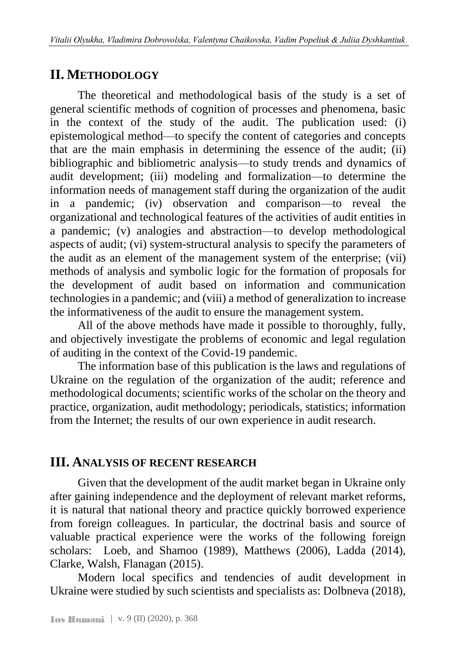# <span id="page-3-0"></span>**II. METHODOLOGY**

The theoretical and methodological basis of the study is a set of general scientific methods of cognition of processes and phenomena, basic in the context of the study of the audit. The publication used: (i) epistemological method—to specify the content of categories and concepts that are the main emphasis in determining the essence of the audit; (ii) bibliographic and bibliometric analysis—to study trends and dynamics of audit development; (iii) modeling and formalization—to determine the information needs of management staff during the organization of the audit in a pandemic; (iv) observation and comparison—to reveal the organizational and technological features of the activities of audit entities in a pandemic; (v) analogies and abstraction—to develop methodological aspects of audit; (vi) system-structural analysis to specify the parameters of the audit as an element of the management system of the enterprise; (vii) methods of analysis and symbolic logic for the formation of proposals for the development of audit based on information and communication technologies in a pandemic; and (viii) a method of generalization to increase the informativeness of the audit to ensure the management system.

All of the above methods have made it possible to thoroughly, fully, and objectively investigate the problems of economic and legal regulation of auditing in the context of the Covid-19 pandemic.

The information base of this publication is the laws and regulations of Ukraine on the regulation of the organization of the audit; reference and methodological documents; scientific works of the scholar on the theory and practice, organization, audit methodology; periodicals, statistics; information from the Internet; the results of our own experience in audit research.

## <span id="page-3-1"></span>**III. ANALYSIS OF RECENT RESEARCH**

Given that the development of the audit market began in Ukraine only after gaining independence and the deployment of relevant market reforms, it is natural that national theory and practice quickly borrowed experience from foreign colleagues. In particular, the doctrinal basis and source of valuable practical experience were the works of the following foreign scholars: Loeb, and Shamoo (1989), Matthews (2006), Ladda (2014), Clarke, Walsh, Flanagan (2015).

Modern local specifics and tendencies of audit development in Ukraine were studied by such scientists and specialists as: Dolbneva (2018),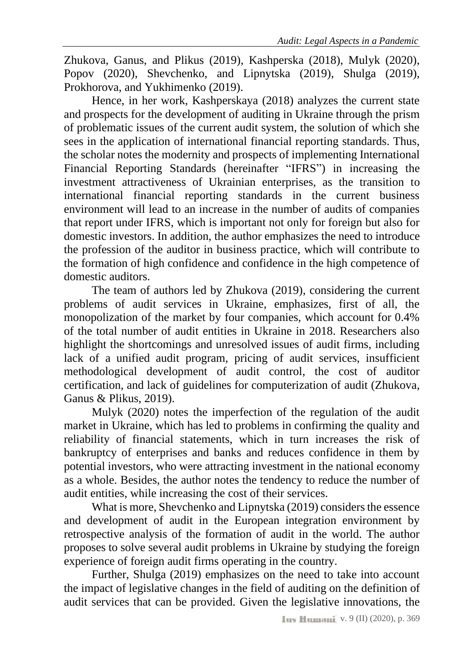Zhukova, Ganus, and Plikus (2019), Kashperska (2018), Mulyk (2020), Popov (2020), Shevchenko, and Lipnytska (2019), Shulga (2019), Prokhorova, and Yukhimenko (2019).

Hence, in her work, Kashperskaya (2018) analyzes the current state and prospects for the development of auditing in Ukraine through the prism of problematic issues of the current audit system, the solution of which she sees in the application of international financial reporting standards. Thus, the scholar notes the modernity and prospects of implementing International Financial Reporting Standards (hereinafter "IFRS") in increasing the investment attractiveness of Ukrainian enterprises, as the transition to international financial reporting standards in the current business environment will lead to an increase in the number of audits of companies that report under IFRS, which is important not only for foreign but also for domestic investors. In addition, the author emphasizes the need to introduce the profession of the auditor in business practice, which will contribute to the formation of high confidence and confidence in the high competence of domestic auditors.

The team of authors led by Zhukova (2019), considering the current problems of audit services in Ukraine, emphasizes, first of all, the monopolization of the market by four companies, which account for 0.4% of the total number of audit entities in Ukraine in 2018. Researchers also highlight the shortcomings and unresolved issues of audit firms, including lack of a unified audit program, pricing of audit services, insufficient methodological development of audit control, the cost of auditor certification, and lack of guidelines for computerization of audit (Zhukova, Ganus & Plikus, 2019).

Mulyk (2020) notes the imperfection of the regulation of the audit market in Ukraine, which has led to problems in confirming the quality and reliability of financial statements, which in turn increases the risk of bankruptcy of enterprises and banks and reduces confidence in them by potential investors, who were attracting investment in the national economy as a whole. Besides, the author notes the tendency to reduce the number of audit entities, while increasing the cost of their services.

What is more, Shevchenko and Lipnytska (2019) considers the essence and development of audit in the European integration environment by retrospective analysis of the formation of audit in the world. The author proposes to solve several audit problems in Ukraine by studying the foreign experience of foreign audit firms operating in the country.

Further, Shulga (2019) emphasizes on the need to take into account the impact of legislative changes in the field of auditing on the definition of audit services that can be provided. Given the legislative innovations, the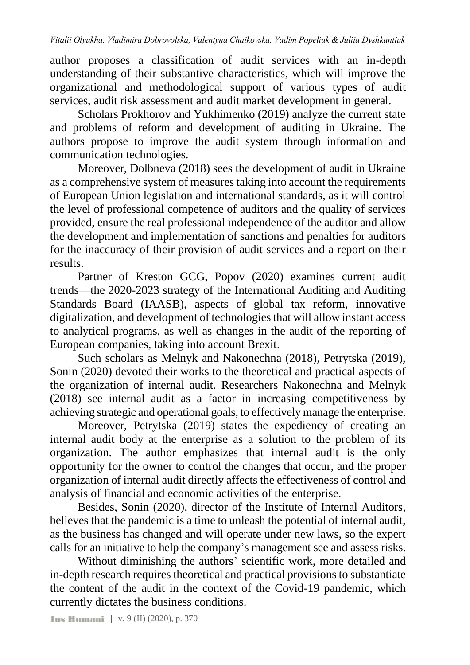author proposes a classification of audit services with an in-depth understanding of their substantive characteristics, which will improve the organizational and methodological support of various types of audit services, audit risk assessment and audit market development in general.

Scholars Prokhorov and Yukhimenko (2019) analyze the current state and problems of reform and development of auditing in Ukraine. The authors propose to improve the audit system through information and communication technologies.

Moreover, Dolbneva (2018) sees the development of audit in Ukraine as a comprehensive system of measures taking into account the requirements of European Union legislation and international standards, as it will control the level of professional competence of auditors and the quality of services provided, ensure the real professional independence of the auditor and allow the development and implementation of sanctions and penalties for auditors for the inaccuracy of their provision of audit services and a report on their results.

Partner of Kreston GCG, Popov (2020) examines current audit trends—the 2020-2023 strategy of the International Auditing and Auditing Standards Board (IAASB), aspects of global tax reform, innovative digitalization, and development of technologies that will allow instant access to analytical programs, as well as changes in the audit of the reporting of European companies, taking into account Brexit.

Such scholars as Melnyk and Nakonechna (2018), Petrytska (2019), Sonin (2020) devoted their works to the theoretical and practical aspects of the organization of internal audit. Researchers Nakonechna and Melnyk (2018) see internal audit as a factor in increasing competitiveness by achieving strategic and operational goals, to effectively manage the enterprise.

Moreover, Petrytska (2019) states the expediency of creating an internal audit body at the enterprise as a solution to the problem of its organization. The author emphasizes that internal audit is the only opportunity for the owner to control the changes that occur, and the proper organization of internal audit directly affects the effectiveness of control and analysis of financial and economic activities of the enterprise.

Besides, Sonin (2020), director of the Institute of Internal Auditors, believes that the pandemic is a time to unleash the potential of internal audit, as the business has changed and will operate under new laws, so the expert calls for an initiative to help the company's management see and assess risks.

Without diminishing the authors' scientific work, more detailed and in-depth research requires theoretical and practical provisions to substantiate the content of the audit in the context of the Covid-19 pandemic, which currently dictates the business conditions.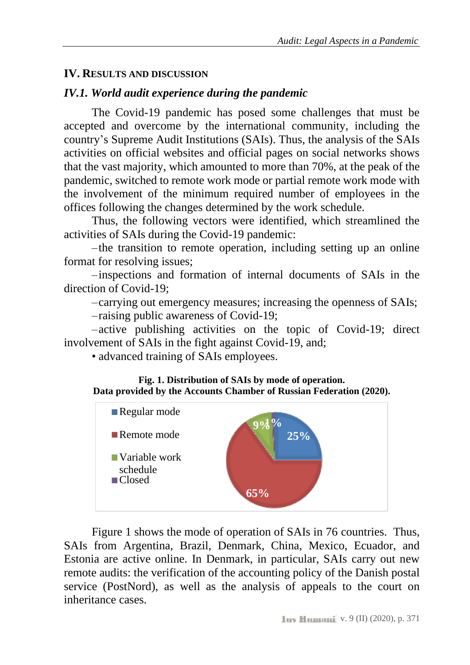#### <span id="page-6-0"></span>**IV. RESULTS AND DISCUSSION**

#### <span id="page-6-1"></span>*IV.1. World audit experience during the pandemic*

The Covid-19 pandemic has posed some challenges that must be accepted and overcome by the international community, including the country's Supreme Audit Institutions (SAIs). Thus, the analysis of the SAIs activities on official websites and official pages on social networks shows that the vast majority, which amounted to more than 70%, at the peak of the pandemic, switched to remote work mode or partial remote work mode with the involvement of the minimum required number of employees in the offices following the changes determined by the work schedule.

Thus, the following vectors were identified, which streamlined the activities of SAIs during the Covid-19 pandemic:

–the transition to remote operation, including setting up an online format for resolving issues;

–inspections and formation of internal documents of SAIs in the direction of Covid-19;

–carrying out emergency measures; increasing the openness of SAIs;

–raising public awareness of Covid-19;

–active publishing activities on the topic of Covid-19; direct involvement of SAIs in the fight against Covid-19, and;

• advanced training of SAIs employees.





Figure 1 shows the mode of operation of SAIs in 76 countries. Thus, SAIs from Argentina, Brazil, Denmark, China, Mexico, Ecuador, and Estonia are active online. In Denmark, in particular, SAIs carry out new remote audits: the verification of the accounting policy of the Danish postal service (PostNord), as well as the analysis of appeals to the court on inheritance cases.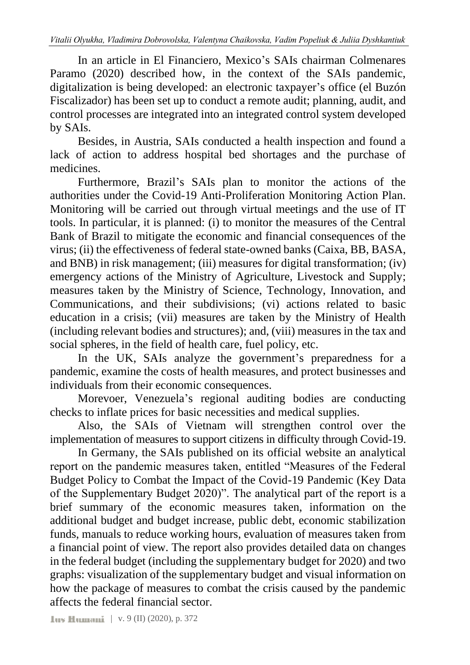In an article in El Financiero, Mexico's SAIs chairman Colmenares Paramo (2020) described how, in the context of the SAIs pandemic, digitalization is being developed: an electronic taxpayer's office (el Buzón Fiscalizador) has been set up to conduct a remote audit; planning, audit, and control processes are integrated into an integrated control system developed by SAIs.

Besides, in Austria, SAIs conducted a health inspection and found a lack of action to address hospital bed shortages and the purchase of medicines.

Furthermore, Brazil's SAIs plan to monitor the actions of the authorities under the Covid-19 Anti-Proliferation Monitoring Action Plan. Monitoring will be carried out through virtual meetings and the use of IT tools. In particular, it is planned: (i) to monitor the measures of the Central Bank of Brazil to mitigate the economic and financial consequences of the virus; (ii) the effectiveness of federal state-owned banks (Caixa, BB, BASA, and BNB) in risk management; (iii) measures for digital transformation; (iv) emergency actions of the Ministry of Agriculture, Livestock and Supply; measures taken by the Ministry of Science, Technology, Innovation, and Communications, and their subdivisions; (vi) actions related to basic education in a crisis; (vii) measures are taken by the Ministry of Health (including relevant bodies and structures); and, (viii) measures in the tax and social spheres, in the field of health care, fuel policy, etc.

In the UK, SAIs analyze the government's preparedness for a pandemic, examine the costs of health measures, and protect businesses and individuals from their economic consequences.

Morevoer, Venezuela's regional auditing bodies are conducting checks to inflate prices for basic necessities and medical supplies.

Also, the SAIs of Vietnam will strengthen control over the implementation of measures to support citizens in difficulty through Covid-19.

In Germany, the SAIs published on its official website an analytical report on the pandemic measures taken, entitled "Measures of the Federal Budget Policy to Combat the Impact of the Covid-19 Pandemic (Key Data of the Supplementary Budget 2020)". The analytical part of the report is a brief summary of the economic measures taken, information on the additional budget and budget increase, public debt, economic stabilization funds, manuals to reduce working hours, evaluation of measures taken from a financial point of view. The report also provides detailed data on changes in the federal budget (including the supplementary budget for 2020) and two graphs: visualization of the supplementary budget and visual information on how the package of measures to combat the crisis caused by the pandemic affects the federal financial sector.

| v. 9 (II) (2020), p. 372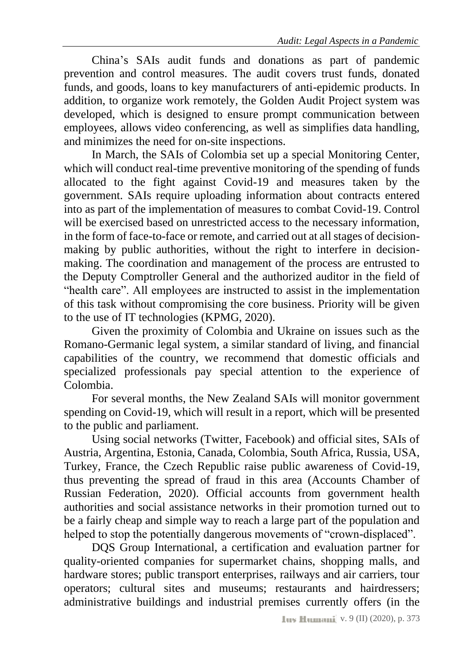China's SAIs audit funds and donations as part of pandemic prevention and control measures. The audit covers trust funds, donated funds, and goods, loans to key manufacturers of anti-epidemic products. In addition, to organize work remotely, the Golden Audit Project system was developed, which is designed to ensure prompt communication between employees, allows video conferencing, as well as simplifies data handling, and minimizes the need for on-site inspections.

In March, the SAIs of Colombia set up a special Monitoring Center, which will conduct real-time preventive monitoring of the spending of funds allocated to the fight against Covid-19 and measures taken by the government. SAIs require uploading information about contracts entered into as part of the implementation of measures to combat Covid-19. Control will be exercised based on unrestricted access to the necessary information, in the form of face-to-face or remote, and carried out at all stages of decisionmaking by public authorities, without the right to interfere in decisionmaking. The coordination and management of the process are entrusted to the Deputy Comptroller General and the authorized auditor in the field of "health care". All employees are instructed to assist in the implementation of this task without compromising the core business. Priority will be given to the use of IT technologies (KPMG, 2020).

Given the proximity of Colombia and Ukraine on issues such as the Romano-Germanic legal system, a similar standard of living, and financial capabilities of the country, we recommend that domestic officials and specialized professionals pay special attention to the experience of Colombia.

For several months, the New Zealand SAIs will monitor government spending on Covid-19, which will result in a report, which will be presented to the public and parliament.

Using social networks (Twitter, Facebook) and official sites, SAIs of Austria, Argentina, Estonia, Canada, Colombia, South Africa, Russia, USA, Turkey, France, the Czech Republic raise public awareness of Covid-19, thus preventing the spread of fraud in this area (Accounts Chamber of Russian Federation, 2020). Official accounts from government health authorities and social assistance networks in their promotion turned out to be a fairly cheap and simple way to reach a large part of the population and helped to stop the potentially dangerous movements of "crown-displaced".

DQS Group International, a certification and evaluation partner for quality-oriented companies for supermarket chains, shopping malls, and hardware stores; public transport enterprises, railways and air carriers, tour operators; cultural sites and museums; restaurants and hairdressers; administrative buildings and industrial premises currently offers (in the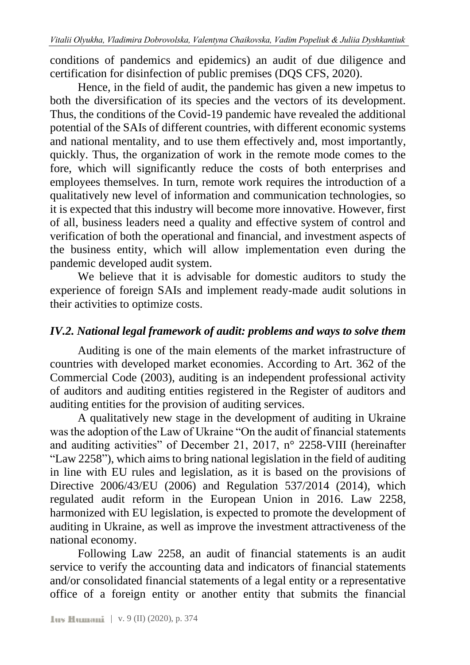conditions of pandemics and epidemics) an audit of due diligence and certification for disinfection of public premises (DQS CFS, 2020).

Hence, in the field of audit, the pandemic has given a new impetus to both the diversification of its species and the vectors of its development. Thus, the conditions of the Covid-19 pandemic have revealed the additional potential of the SAIs of different countries, with different economic systems and national mentality, and to use them effectively and, most importantly, quickly. Thus, the organization of work in the remote mode comes to the fore, which will significantly reduce the costs of both enterprises and employees themselves. In turn, remote work requires the introduction of a qualitatively new level of information and communication technologies, so it is expected that this industry will become more innovative. However, first of all, business leaders need a quality and effective system of control and verification of both the operational and financial, and investment aspects of the business entity, which will allow implementation even during the pandemic developed audit system.

We believe that it is advisable for domestic auditors to study the experience of foreign SAIs and implement ready-made audit solutions in their activities to optimize costs.

#### <span id="page-9-0"></span>*IV.2. National legal framework of audit: problems and ways to solve them*

Auditing is one of the main elements of the market infrastructure of countries with developed market economies. According to Art. 362 of the Commercial Code (2003), auditing is an independent professional activity of auditors and auditing entities registered in the Register of auditors and auditing entities for the provision of auditing services.

A qualitatively new stage in the development of auditing in Ukraine was the adoption of the Law of Ukraine "On the audit of financial statements and auditing activities" of December 21, 2017, n° 2258-VIII (hereinafter "Law 2258"), which aims to bring national legislation in the field of auditing in line with EU rules and legislation, as it is based on the provisions of Directive 2006/43/EU (2006) and Regulation 537/2014 (2014), which regulated audit reform in the European Union in 2016. Law 2258, harmonized with EU legislation, is expected to promote the development of auditing in Ukraine, as well as improve the investment attractiveness of the national economy.

Following Law 2258, an audit of financial statements is an audit service to verify the accounting data and indicators of financial statements and/or consolidated financial statements of a legal entity or a representative office of a foreign entity or another entity that submits the financial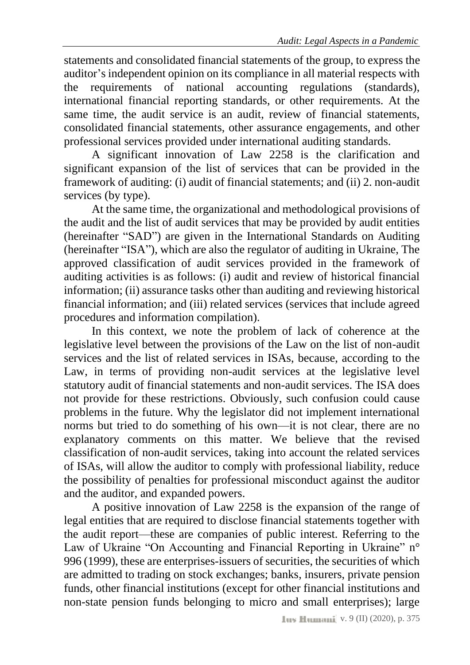statements and consolidated financial statements of the group, to express the auditor's independent opinion on its compliance in all material respects with the requirements of national accounting regulations (standards), international financial reporting standards, or other requirements. At the same time, the audit service is an audit, review of financial statements, consolidated financial statements, other assurance engagements, and other professional services provided under international auditing standards.

A significant innovation of Law 2258 is the clarification and significant expansion of the list of services that can be provided in the framework of auditing: (i) audit of financial statements; and (ii) 2. non-audit services (by type).

At the same time, the organizational and methodological provisions of the audit and the list of audit services that may be provided by audit entities (hereinafter "SAD") are given in the International Standards on Auditing (hereinafter "ISA"), which are also the regulator of auditing in Ukraine, The approved classification of audit services provided in the framework of auditing activities is as follows: (i) audit and review of historical financial information; (ii) assurance tasks other than auditing and reviewing historical financial information; and (iii) related services (services that include agreed procedures and information compilation).

In this context, we note the problem of lack of coherence at the legislative level between the provisions of the Law on the list of non-audit services and the list of related services in ISAs, because, according to the Law, in terms of providing non-audit services at the legislative level statutory audit of financial statements and non-audit services. The ISA does not provide for these restrictions. Obviously, such confusion could cause problems in the future. Why the legislator did not implement international norms but tried to do something of his own—it is not clear, there are no explanatory comments on this matter. We believe that the revised classification of non-audit services, taking into account the related services of ISAs, will allow the auditor to comply with professional liability, reduce the possibility of penalties for professional misconduct against the auditor and the auditor, and expanded powers.

A positive innovation of Law 2258 is the expansion of the range of legal entities that are required to disclose financial statements together with the audit report—these are companies of public interest. Referring to the Law of Ukraine "On Accounting and Financial Reporting in Ukraine" n° 996 (1999), these are enterprises-issuers of securities, the securities of which are admitted to trading on stock exchanges; banks, insurers, private pension funds, other financial institutions (except for other financial institutions and non-state pension funds belonging to micro and small enterprises); large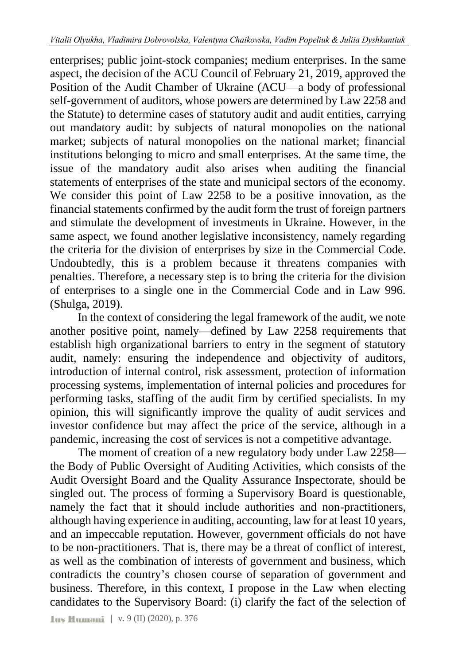enterprises; public joint-stock companies; medium enterprises. In the same aspect, the decision of the ACU Council of February 21, 2019, approved the Position of the Audit Chamber of Ukraine (ACU—a body of professional self-government of auditors, whose powers are determined by Law 2258 and the Statute) to determine cases of statutory audit and audit entities, carrying out mandatory audit: by subjects of natural monopolies on the national market; subjects of natural monopolies on the national market; financial institutions belonging to micro and small enterprises. At the same time, the issue of the mandatory audit also arises when auditing the financial statements of enterprises of the state and municipal sectors of the economy. We consider this point of Law 2258 to be a positive innovation, as the financial statements confirmed by the audit form the trust of foreign partners and stimulate the development of investments in Ukraine. However, in the same aspect, we found another legislative inconsistency, namely regarding the criteria for the division of enterprises by size in the Commercial Code. Undoubtedly, this is a problem because it threatens companies with penalties. Therefore, a necessary step is to bring the criteria for the division of enterprises to a single one in the Commercial Code and in Law 996. (Shulga, 2019).

In the context of considering the legal framework of the audit, we note another positive point, namely—defined by Law 2258 requirements that establish high organizational barriers to entry in the segment of statutory audit, namely: ensuring the independence and objectivity of auditors, introduction of internal control, risk assessment, protection of information processing systems, implementation of internal policies and procedures for performing tasks, staffing of the audit firm by certified specialists. In my opinion, this will significantly improve the quality of audit services and investor confidence but may affect the price of the service, although in a pandemic, increasing the cost of services is not a competitive advantage.

The moment of creation of a new regulatory body under Law 2258 the Body of Public Oversight of Auditing Activities, which consists of the Audit Oversight Board and the Quality Assurance Inspectorate, should be singled out. The process of forming a Supervisory Board is questionable, namely the fact that it should include authorities and non-practitioners, although having experience in auditing, accounting, law for at least 10 years, and an impeccable reputation. However, government officials do not have to be non-practitioners. That is, there may be a threat of conflict of interest, as well as the combination of interests of government and business, which contradicts the country's chosen course of separation of government and business. Therefore, in this context, I propose in the Law when electing candidates to the Supervisory Board: (i) clarify the fact of the selection of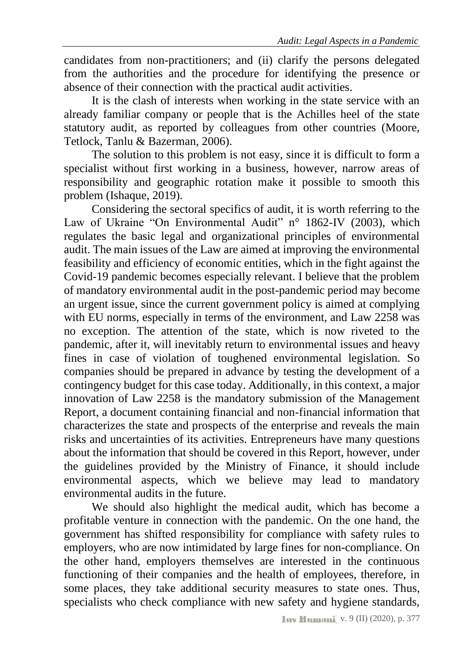candidates from non-practitioners; and (ii) clarify the persons delegated from the authorities and the procedure for identifying the presence or absence of their connection with the practical audit activities.

It is the clash of interests when working in the state service with an already familiar company or people that is the Achilles heel of the state statutory audit, as reported by colleagues from other countries (Moore, Tetlock, Tanlu & Bazerman, 2006).

The solution to this problem is not easy, since it is difficult to form a specialist without first working in a business, however, narrow areas of responsibility and geographic rotation make it possible to smooth this problem (Ishaque, 2019).

Considering the sectoral specifics of audit, it is worth referring to the Law of Ukraine "On Environmental Audit" n° 1862-IV (2003), which regulates the basic legal and organizational principles of environmental audit. The main issues of the Law are aimed at improving the environmental feasibility and efficiency of economic entities, which in the fight against the Covid-19 pandemic becomes especially relevant. I believe that the problem of mandatory environmental audit in the post-pandemic period may become an urgent issue, since the current government policy is aimed at complying with EU norms, especially in terms of the environment, and Law 2258 was no exception. The attention of the state, which is now riveted to the pandemic, after it, will inevitably return to environmental issues and heavy fines in case of violation of toughened environmental legislation. So companies should be prepared in advance by testing the development of a contingency budget for this case today. Additionally, in this context, a major innovation of Law 2258 is the mandatory submission of the Management Report, a document containing financial and non-financial information that characterizes the state and prospects of the enterprise and reveals the main risks and uncertainties of its activities. Entrepreneurs have many questions about the information that should be covered in this Report, however, under the guidelines provided by the Ministry of Finance, it should include environmental aspects, which we believe may lead to mandatory environmental audits in the future.

We should also highlight the medical audit, which has become a profitable venture in connection with the pandemic. On the one hand, the government has shifted responsibility for compliance with safety rules to employers, who are now intimidated by large fines for non-compliance. On the other hand, employers themselves are interested in the continuous functioning of their companies and the health of employees, therefore, in some places, they take additional security measures to state ones. Thus, specialists who check compliance with new safety and hygiene standards,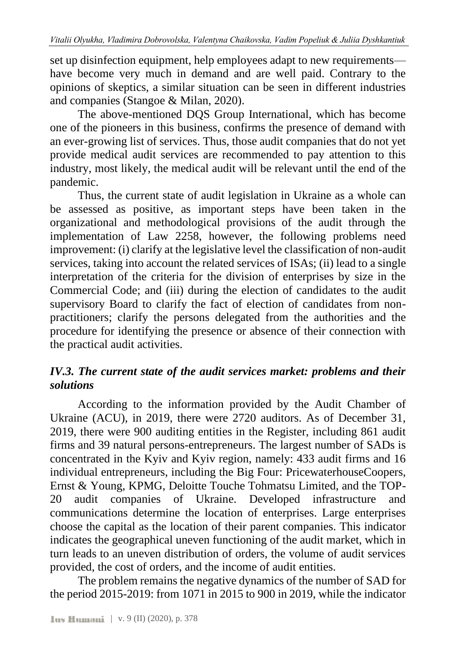set up disinfection equipment, help employees adapt to new requirements have become very much in demand and are well paid. Contrary to the opinions of skeptics, a similar situation can be seen in different industries and companies (Stangoe & Milan, 2020).

The above-mentioned DQS Group International, which has become one of the pioneers in this business, confirms the presence of demand with an ever-growing list of services. Thus, those audit companies that do not yet provide medical audit services are recommended to pay attention to this industry, most likely, the medical audit will be relevant until the end of the pandemic.

Thus, the current state of audit legislation in Ukraine as a whole can be assessed as positive, as important steps have been taken in the organizational and methodological provisions of the audit through the implementation of Law 2258, however, the following problems need improvement: (i) clarify at the legislative level the classification of non-audit services, taking into account the related services of ISAs; (ii) lead to a single interpretation of the criteria for the division of enterprises by size in the Commercial Code; and (iii) during the election of candidates to the audit supervisory Board to clarify the fact of election of candidates from nonpractitioners; clarify the persons delegated from the authorities and the procedure for identifying the presence or absence of their connection with the practical audit activities.

## <span id="page-13-0"></span>*IV.3. The current state of the audit services market: problems and their solutions*

According to the information provided by the Audit Chamber of Ukraine (ACU), in 2019, there were 2720 auditors. As of December 31, 2019, there were 900 auditing entities in the Register, including 861 audit firms and 39 natural persons-entrepreneurs. The largest number of SADs is concentrated in the Kyiv and Kyiv region, namely: 433 audit firms and 16 individual entrepreneurs, including the Big Four: PricewaterhouseCoopers, Ernst & Young, KPMG, Deloitte Touche Tohmatsu Limited, and the TOP-20 audit companies of Ukraine. Developed infrastructure and communications determine the location of enterprises. Large enterprises choose the capital as the location of their parent companies. This indicator indicates the geographical uneven functioning of the audit market, which in turn leads to an uneven distribution of orders, the volume of audit services provided, the cost of orders, and the income of audit entities.

The problem remains the negative dynamics of the number of SAD for the period 2015-2019: from 1071 in 2015 to 900 in 2019, while the indicator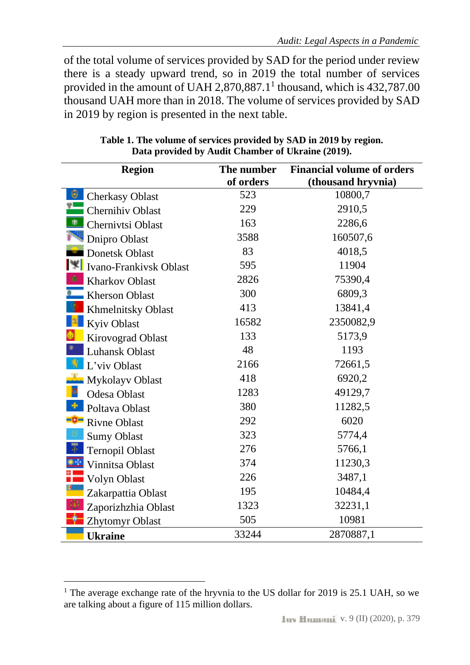of the total volume of services provided by SAD for the period under review there is a steady upward trend, so in 2019 the total number of services provided in the amount of UAH  $2,870,887.1^1$  thousand, which is 432,787.00 thousand UAH more than in 2018. The volume of services provided by SAD in 2019 by region is presented in the next table.

| <b>Region</b>               | The number | <b>Financial volume of orders</b> |
|-----------------------------|------------|-----------------------------------|
|                             | of orders  | (thousand hryvnia)                |
| ◉<br><b>Cherkasy Oblast</b> | 523        | 10800,7                           |
| Chernihiv Oblast            | 229        | 2910,5                            |
| 电<br>Chernivtsi Oblast      | 163        | 2286,6                            |
| Dnipro Oblast               | 3588       | 160507,6                          |
| <b>Donetsk Oblast</b>       | 83         | 4018,5                            |
| Ivano-Frankivsk Oblast      | 595        | 11904                             |
| <b>Kharkov Oblast</b>       | 2826       | 75390,4                           |
| Kherson Oblast              | 300        | 6809,3                            |
| <b>Khmelnitsky Oblast</b>   | 413        | 13841,4                           |
| Kyiv Oblast                 | 16582      | 2350082,9                         |
| Kirovograd Oblast           | 133        | 5173,9                            |
| <b>Luhansk Oblast</b>       | 48         | 1193                              |
| L'viv Oblast                | 2166       | 72661,5                           |
| Mykolayv Oblast             | 418        | 6920,2                            |
| þ<br><b>Odesa Oblast</b>    | 1283       | 49129,7                           |
| Poltava Oblast              | 380        | 11282,5                           |
| <b>P</b> Rivne Oblast       | 292        | 6020                              |
| <b>Sumy Oblast</b>          | 323        | 5774,4                            |
| 量<br><b>Ternopil Oblast</b> | 276        | 5766,1                            |
| Vinnitsa Oblast             | 374        | 11230,3                           |
| Volyn Oblast                | 226        | 3487,1                            |
| Zakarpattia Oblast          | 195        | 10484,4                           |
| Zaporizhzhia Oblast         | 1323       | 32231,1                           |
| Zhytomyr Oblast             | 505        | 10981                             |
| <b>Ukraine</b>              | 33244      | 2870887,1                         |

**Table 1. The volume of services provided by SAD in 2019 by region. Data provided by Audit Chamber of Ukraine (2019).**

<sup>&</sup>lt;sup>1</sup> The average exchange rate of the hryvnia to the US dollar for 2019 is 25.1 UAH, so we are talking about a figure of 115 million dollars.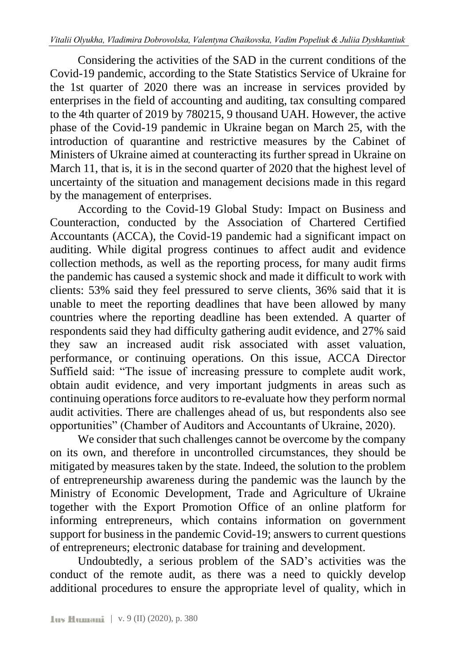Considering the activities of the SAD in the current conditions of the Covid-19 pandemic, according to the State Statistics Service of Ukraine for the 1st quarter of 2020 there was an increase in services provided by enterprises in the field of accounting and auditing, tax consulting compared to the 4th quarter of 2019 by 780215, 9 thousand UAH. However, the active phase of the Covid-19 pandemic in Ukraine began on March 25, with the introduction of quarantine and restrictive measures by the Cabinet of Ministers of Ukraine aimed at counteracting its further spread in Ukraine on March 11, that is, it is in the second quarter of 2020 that the highest level of uncertainty of the situation and management decisions made in this regard by the management of enterprises.

According to the Covid-19 Global Study: Impact on Business and Counteraction, conducted by the Association of Chartered Certified Accountants (ACCA), the Covid-19 pandemic had a significant impact on auditing. While digital progress continues to affect audit and evidence collection methods, as well as the reporting process, for many audit firms the pandemic has caused a systemic shock and made it difficult to work with clients: 53% said they feel pressured to serve clients, 36% said that it is unable to meet the reporting deadlines that have been allowed by many countries where the reporting deadline has been extended. A quarter of respondents said they had difficulty gathering audit evidence, and 27% said they saw an increased audit risk associated with asset valuation, performance, or continuing operations. On this issue, ACCA Director Suffield said: "The issue of increasing pressure to complete audit work, obtain audit evidence, and very important judgments in areas such as continuing operations force auditors to re-evaluate how they perform normal audit activities. There are challenges ahead of us, but respondents also see opportunities" (Chamber of Auditors and Accountants of Ukraine, 2020).

We consider that such challenges cannot be overcome by the company on its own, and therefore in uncontrolled circumstances, they should be mitigated by measures taken by the state. Indeed, the solution to the problem of entrepreneurship awareness during the pandemic was the launch by the Ministry of Economic Development, Trade and Agriculture of Ukraine together with the Export Promotion Office of an online platform for informing entrepreneurs, which contains information on government support for business in the pandemic Covid-19; answers to current questions of entrepreneurs; electronic database for training and development.

Undoubtedly, a serious problem of the SAD's activities was the conduct of the remote audit, as there was a need to quickly develop additional procedures to ensure the appropriate level of quality, which in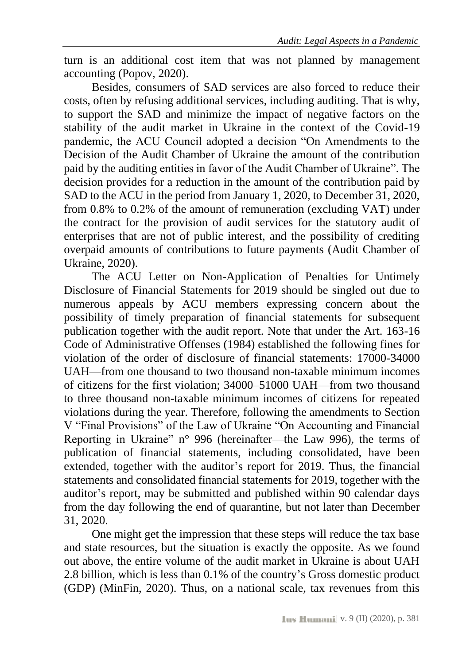turn is an additional cost item that was not planned by management accounting (Popov, 2020).

Besides, consumers of SAD services are also forced to reduce their costs, often by refusing additional services, including auditing. That is why, to support the SAD and minimize the impact of negative factors on the stability of the audit market in Ukraine in the context of the Covid-19 pandemic, the ACU Council adopted a decision "On Amendments to the Decision of the Audit Chamber of Ukraine the amount of the contribution paid by the auditing entities in favor of the Audit Chamber of Ukraine". The decision provides for a reduction in the amount of the contribution paid by SAD to the ACU in the period from January 1, 2020, to December 31, 2020, from 0.8% to 0.2% of the amount of remuneration (excluding VAT) under the contract for the provision of audit services for the statutory audit of enterprises that are not of public interest, and the possibility of crediting overpaid amounts of contributions to future payments (Audit Chamber of Ukraine, 2020).

The ACU Letter on Non-Application of Penalties for Untimely Disclosure of Financial Statements for 2019 should be singled out due to numerous appeals by ACU members expressing concern about the possibility of timely preparation of financial statements for subsequent publication together with the audit report. Note that under the Art. 163-16 Code of Administrative Offenses (1984) established the following fines for violation of the order of disclosure of financial statements: 17000-34000 UAH—from one thousand to two thousand non-taxable minimum incomes of citizens for the first violation; 34000–51000 UAH—from two thousand to three thousand non-taxable minimum incomes of citizens for repeated violations during the year. Therefore, following the amendments to Section V "Final Provisions" of the Law of Ukraine "On Accounting and Financial Reporting in Ukraine" n° 996 (hereinafter—the Law 996), the terms of publication of financial statements, including consolidated, have been extended, together with the auditor's report for 2019. Thus, the financial statements and consolidated financial statements for 2019, together with the auditor's report, may be submitted and published within 90 calendar days from the day following the end of quarantine, but not later than December 31, 2020.

One might get the impression that these steps will reduce the tax base and state resources, but the situation is exactly the opposite. As we found out above, the entire volume of the audit market in Ukraine is about UAH 2.8 billion, which is less than 0.1% of the country's Gross domestic product (GDP) (MinFin, 2020). Thus, on a national scale, tax revenues from this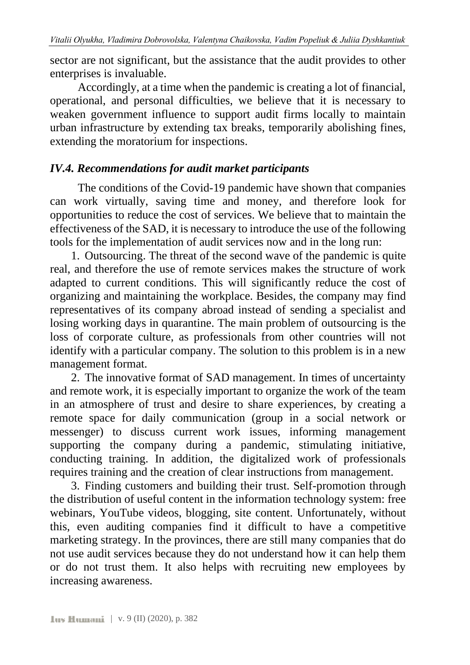sector are not significant, but the assistance that the audit provides to other enterprises is invaluable.

Accordingly, at a time when the pandemic is creating a lot of financial, operational, and personal difficulties, we believe that it is necessary to weaken government influence to support audit firms locally to maintain urban infrastructure by extending tax breaks, temporarily abolishing fines, extending the moratorium for inspections.

### <span id="page-17-0"></span>*IV.4. Recommendations for audit market participants*

The conditions of the Covid-19 pandemic have shown that companies can work virtually, saving time and money, and therefore look for opportunities to reduce the cost of services. We believe that to maintain the effectiveness of the SAD, it is necessary to introduce the use of the following tools for the implementation of audit services now and in the long run:

1. Outsourcing. The threat of the second wave of the pandemic is quite real, and therefore the use of remote services makes the structure of work adapted to current conditions. This will significantly reduce the cost of organizing and maintaining the workplace. Besides, the company may find representatives of its company abroad instead of sending a specialist and losing working days in quarantine. The main problem of outsourcing is the loss of corporate culture, as professionals from other countries will not identify with a particular company. The solution to this problem is in a new management format.

2. The innovative format of SAD management. In times of uncertainty and remote work, it is especially important to organize the work of the team in an atmosphere of trust and desire to share experiences, by creating a remote space for daily communication (group in a social network or messenger) to discuss current work issues, informing management supporting the company during a pandemic, stimulating initiative, conducting training. In addition, the digitalized work of professionals requires training and the creation of clear instructions from management.

3. Finding customers and building their trust. Self-promotion through the distribution of useful content in the information technology system: free webinars, YouTube videos, blogging, site content. Unfortunately, without this, even auditing companies find it difficult to have a competitive marketing strategy. In the provinces, there are still many companies that do not use audit services because they do not understand how it can help them or do not trust them. It also helps with recruiting new employees by increasing awareness.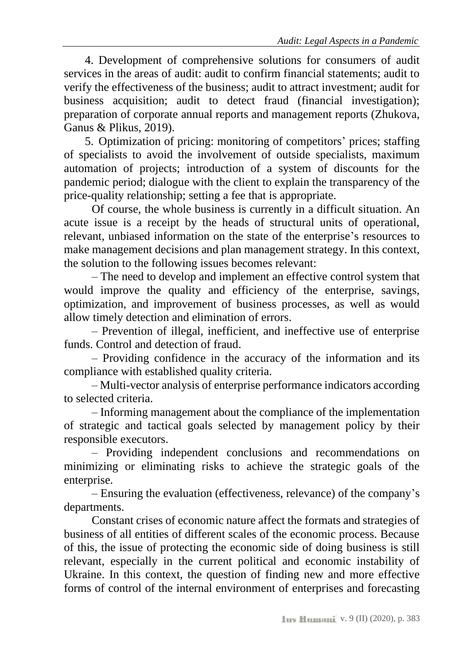4. Development of comprehensive solutions for consumers of audit services in the areas of audit: audit to confirm financial statements; audit to verify the effectiveness of the business; audit to attract investment; audit for business acquisition; audit to detect fraud (financial investigation); preparation of corporate annual reports and management reports (Zhukova, Ganus & Plikus, 2019).

5. Optimization of pricing: monitoring of competitors' prices; staffing of specialists to avoid the involvement of outside specialists, maximum automation of projects; introduction of a system of discounts for the pandemic period; dialogue with the client to explain the transparency of the price-quality relationship; setting a fee that is appropriate.

Of course, the whole business is currently in a difficult situation. An acute issue is a receipt by the heads of structural units of operational, relevant, unbiased information on the state of the enterprise's resources to make management decisions and plan management strategy. In this context, the solution to the following issues becomes relevant:

– The need to develop and implement an effective control system that would improve the quality and efficiency of the enterprise, savings, optimization, and improvement of business processes, as well as would allow timely detection and elimination of errors.

– Prevention of illegal, inefficient, and ineffective use of enterprise funds. Control and detection of fraud.

– Providing confidence in the accuracy of the information and its compliance with established quality criteria.

– Multi-vector analysis of enterprise performance indicators according to selected criteria.

– Informing management about the compliance of the implementation of strategic and tactical goals selected by management policy by their responsible executors.

– Providing independent conclusions and recommendations on minimizing or eliminating risks to achieve the strategic goals of the enterprise.

– Ensuring the evaluation (effectiveness, relevance) of the company's departments.

Constant crises of economic nature affect the formats and strategies of business of all entities of different scales of the economic process. Because of this, the issue of protecting the economic side of doing business is still relevant, especially in the current political and economic instability of Ukraine. In this context, the question of finding new and more effective forms of control of the internal environment of enterprises and forecasting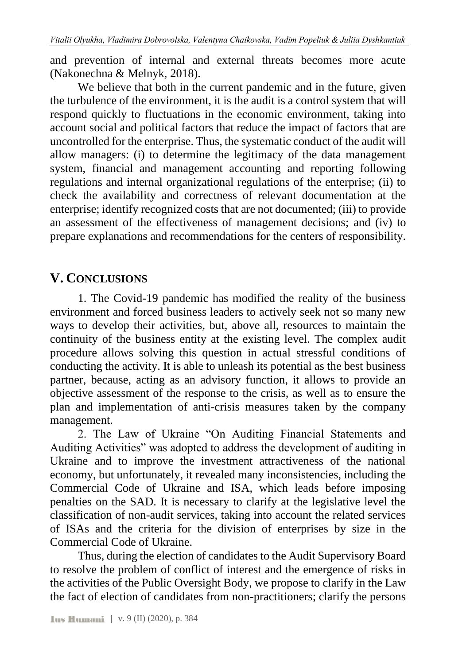and prevention of internal and external threats becomes more acute (Nakonechna & Melnyk, 2018).

We believe that both in the current pandemic and in the future, given the turbulence of the environment, it is the audit is a control system that will respond quickly to fluctuations in the economic environment, taking into account social and political factors that reduce the impact of factors that are uncontrolled for the enterprise. Thus, the systematic conduct of the audit will allow managers: (i) to determine the legitimacy of the data management system, financial and management accounting and reporting following regulations and internal organizational regulations of the enterprise; (ii) to check the availability and correctness of relevant documentation at the enterprise; identify recognized costs that are not documented; (iii) to provide an assessment of the effectiveness of management decisions; and (iv) to prepare explanations and recommendations for the centers of responsibility.

## <span id="page-19-0"></span>**V. CONCLUSIONS**

1. The Covid-19 pandemic has modified the reality of the business environment and forced business leaders to actively seek not so many new ways to develop their activities, but, above all, resources to maintain the continuity of the business entity at the existing level. The complex audit procedure allows solving this question in actual stressful conditions of conducting the activity. It is able to unleash its potential as the best business partner, because, acting as an advisory function, it allows to provide an objective assessment of the response to the crisis, as well as to ensure the plan and implementation of anti-crisis measures taken by the company management.

2. The Law of Ukraine "On Auditing Financial Statements and Auditing Activities" was adopted to address the development of auditing in Ukraine and to improve the investment attractiveness of the national economy, but unfortunately, it revealed many inconsistencies, including the Commercial Code of Ukraine and ISA, which leads before imposing penalties on the SAD. It is necessary to clarify at the legislative level the classification of non-audit services, taking into account the related services of ISAs and the criteria for the division of enterprises by size in the Commercial Code of Ukraine.

Thus, during the election of candidates to the Audit Supervisory Board to resolve the problem of conflict of interest and the emergence of risks in the activities of the Public Oversight Body, we propose to clarify in the Law the fact of election of candidates from non-practitioners; clarify the persons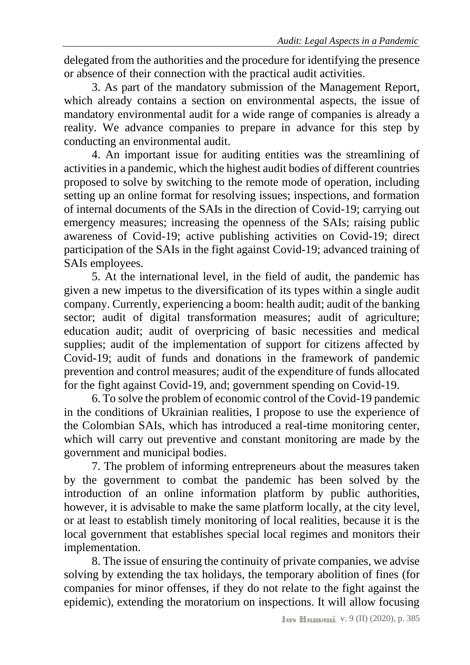delegated from the authorities and the procedure for identifying the presence or absence of their connection with the practical audit activities.

3. As part of the mandatory submission of the Management Report, which already contains a section on environmental aspects, the issue of mandatory environmental audit for a wide range of companies is already a reality. We advance companies to prepare in advance for this step by conducting an environmental audit.

4. An important issue for auditing entities was the streamlining of activities in a pandemic, which the highest audit bodies of different countries proposed to solve by switching to the remote mode of operation, including setting up an online format for resolving issues; inspections, and formation of internal documents of the SAIs in the direction of Covid-19; carrying out emergency measures; increasing the openness of the SAIs; raising public awareness of Covid-19; active publishing activities on Covid-19; direct participation of the SAIs in the fight against Covid-19; advanced training of SAIs employees.

5. At the international level, in the field of audit, the pandemic has given a new impetus to the diversification of its types within a single audit company. Currently, experiencing a boom: health audit; audit of the banking sector; audit of digital transformation measures; audit of agriculture; education audit; audit of overpricing of basic necessities and medical supplies; audit of the implementation of support for citizens affected by Covid-19; audit of funds and donations in the framework of pandemic prevention and control measures; audit of the expenditure of funds allocated for the fight against Covid-19, and; government spending on Covid-19.

6. To solve the problem of economic control of the Covid-19 pandemic in the conditions of Ukrainian realities, I propose to use the experience of the Colombian SAIs, which has introduced a real-time monitoring center, which will carry out preventive and constant monitoring are made by the government and municipal bodies.

7. The problem of informing entrepreneurs about the measures taken by the government to combat the pandemic has been solved by the introduction of an online information platform by public authorities, however, it is advisable to make the same platform locally, at the city level, or at least to establish timely monitoring of local realities, because it is the local government that establishes special local regimes and monitors their implementation.

8. The issue of ensuring the continuity of private companies, we advise solving by extending the tax holidays, the temporary abolition of fines (for companies for minor offenses, if they do not relate to the fight against the epidemic), extending the moratorium on inspections. It will allow focusing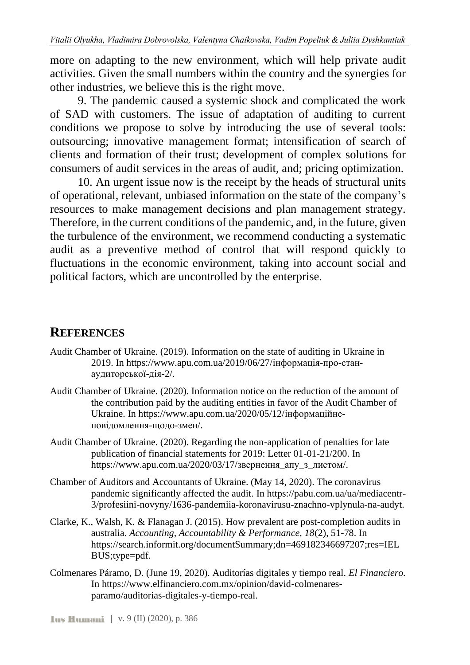more on adapting to the new environment, which will help private audit activities. Given the small numbers within the country and the synergies for other industries, we believe this is the right move.

9. The pandemic caused a systemic shock and complicated the work of SAD with customers. The issue of adaptation of auditing to current conditions we propose to solve by introducing the use of several tools: outsourcing; innovative management format; intensification of search of clients and formation of their trust; development of complex solutions for consumers of audit services in the areas of audit, and; pricing optimization.

10. An urgent issue now is the receipt by the heads of structural units of operational, relevant, unbiased information on the state of the company's resources to make management decisions and plan management strategy. Therefore, in the current conditions of the pandemic, and, in the future, given the turbulence of the environment, we recommend conducting a systematic audit as a preventive method of control that will respond quickly to fluctuations in the economic environment, taking into account social and political factors, which are uncontrolled by the enterprise.

### <span id="page-21-0"></span>**REFERENCES**

- Audit Chamber of Ukraine. (2019). Information on the state of auditing in Ukraine in 2019. In https://www.apu.com.ua/2019/06/27/інформація-про-станаудиторської-дія-2/.
- Audit Chamber of Ukraine. (2020). Information notice on the reduction of the amount of the contribution paid by the auditing entities in favor of the Audit Chamber of Ukraine. In https://www.apu.com.ua/2020/05/12/інформаційнеповідомлення-щодо-змен/.
- Audit Chamber of Ukraine. (2020). Regarding the non-application of penalties for late publication of financial statements for 2019: Letter 01-01-21/200. In https://www.apu.com.ua/2020/03/17/звернення\_апу\_з\_листом/.
- Chamber of Auditors and Accountants of Ukraine. (May 14, 2020). The coronavirus pandemic significantly affected the audit. In https://pabu.com.ua/ua/mediacentr-3/profesiini-novyny/1636-pandemiia-koronavirusu-znachno-vplynula-na-audyt.
- Clarke, K., Walsh, K. & Flanagan J. (2015). How prevalent are post-completion audits in australia. *Accounting, Accountability & Performance, 18*(2), 51-78. In https://search.informit.org/documentSummary;dn=469182346697207;res=IEL BUS;type=pdf.
- Colmenares Páramo, D. (June 19, 2020). Auditorías digitales y tiempo real. *El Financiero.* In https://www.elfinanciero.com.mx/opinion/david-colmenaresparamo/auditorias-digitales-y-tiempo-real.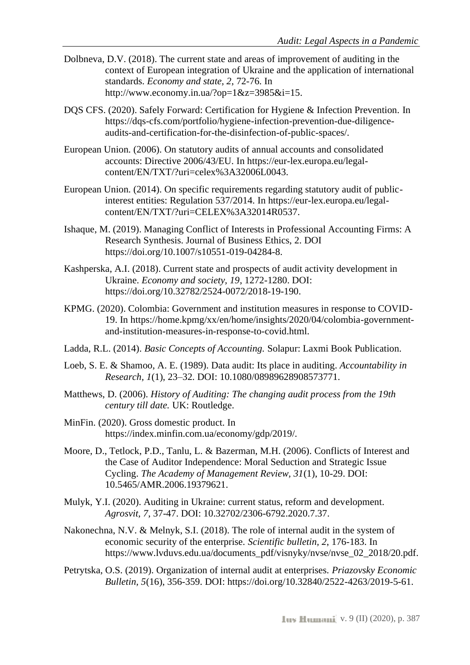- Dolbneva, D.V. (2018). The current state and areas of improvement of auditing in the context of European integration of Ukraine and the application of international standards. *Economy and state, 2*, 72-76. In http://www.economy.in.ua/?op=1&z=3985&i=15.
- DQS CFS. (2020). Safely Forward: Certification for Hygiene & Infection Prevention. In https://dqs-cfs.com/portfolio/hygiene-infection-prevention-due-diligenceaudits-and-certification-for-the-disinfection-of-public-spaces/.
- European Union. (2006). On statutory audits of annual accounts and consolidated accounts: Directive 2006/43/EU. In https://eur-lex.europa.eu/legalcontent/EN/TXT/?uri=celex%3A32006L0043.
- European Union. (2014). On specific requirements regarding statutory audit of publicinterest entities: Regulation 537/2014. In https://eur-lex.europa.eu/legalcontent/EN/TXT/?uri=CELEX%3A32014R0537.
- Ishaque, M. (2019). Managing Conflict of Interests in Professional Accounting Firms: A Research Synthesis. Journal of Business Ethics, 2. DOI https://doi.org/10.1007/s10551-019-04284-8.
- Kashperska, A.I. (2018). Current state and prospects of audit activity development in Ukraine. *Economy and society, 19*, 1272-1280. DOI: https://doi.org/10.32782/2524-0072/2018-19-190.
- KPMG. (2020). Colombia: Government and institution measures in response to COVID-19. In https://home.kpmg/xx/en/home/insights/2020/04/colombia-governmentand-institution-measures-in-response-to-covid.html.
- Ladda, R.L. (2014). *Basic Concepts of Accounting.* Solapur: Laxmi Book Publication.
- Loeb, S. E. & Shamoo, A. E. (1989). Data audit: Its place in auditing. *Accountability in Research, 1*(1), 23–32. DOI: 10.1080/08989628908573771.
- Matthews, D. (2006). *History of Auditing: The changing audit process from the 19th century till date.* UK: Routledge.
- MinFin. (2020). Gross domestic product. In https://index.minfin.com.ua/economy/gdp/2019/.
- Moore, D., Tetlock, P.D., Tanlu, L. & Bazerman, M.H. (2006). Conflicts of Interest and the Case of Auditor Independence: Moral Seduction and Strategic Issue Cycling. *The Academy of Management Review, 31*(1), 10-29. DOI: 10.5465/AMR.2006.19379621.
- Mulyk, Y.I. (2020). Auditing in Ukraine: current status, reform and development. *Agrosvit, 7*, 37-47. DOI: 10.32702/2306-6792.2020.7.37.
- Nakonechna, N.V. & Melnyk, S.I. (2018). The role of internal audit in the system of economic security of the enterprise. *Scientific bulletin, 2*, 176-183. In https://www.lvduvs.edu.ua/documents\_pdf/visnyky/nvse/nvse\_02\_2018/20.pdf.
- Petrytska, O.S. (2019). Organization of internal audit at enterprises. *Priazovsky Economic Bulletin, 5*(16), 356-359. DOI: https://doi.org/10.32840/2522-4263/2019-5-61.